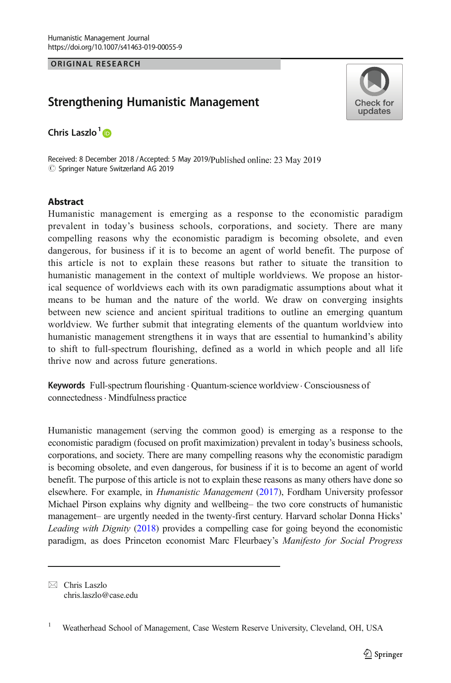ORIGINAL RESEARCH

# Strengthening Humanistic Management

**Check for** updates

Chris Laszlo<sup>1</sup>D

Received: 8 December 2018 / Accepted: 5 May 2019/Published online: 23 May 2019  $\circled{c}$  Springer Nature Switzerland AG 2019

#### Abstract

Humanistic management is emerging as a response to the economistic paradigm prevalent in today's business schools, corporations, and society. There are many compelling reasons why the economistic paradigm is becoming obsolete, and even dangerous, for business if it is to become an agent of world benefit. The purpose of this article is not to explain these reasons but rather to situate the transition to humanistic management in the context of multiple worldviews. We propose an historical sequence of worldviews each with its own paradigmatic assumptions about what it means to be human and the nature of the world. We draw on converging insights between new science and ancient spiritual traditions to outline an emerging quantum worldview. We further submit that integrating elements of the quantum worldview into humanistic management strengthens it in ways that are essential to humankind's ability to shift to full-spectrum flourishing, defined as a world in which people and all life thrive now and across future generations.

Keywords Full-spectrum flourishing . Quantum-science worldview. Consciousness of connectedness. Mindfulness practice

Humanistic management (serving the common good) is emerging as a response to the economistic paradigm (focused on profit maximization) prevalent in today's business schools, corporations, and society. There are many compelling reasons why the economistic paradigm is becoming obsolete, and even dangerous, for business if it is to become an agent of world benefit. The purpose of this article is not to explain these reasons as many others have done so elsewhere. For example, in Humanistic Management ([2017](#page-9-0)), Fordham University professor Michael Pirson explains why dignity and wellbeing– the two core constructs of humanistic management– are urgently needed in the twenty-first century. Harvard scholar Donna Hicks' Leading with Dignity [\(2018\)](#page-9-0) provides a compelling case for going beyond the economistic paradigm, as does Princeton economist Marc Fleurbaey's Manifesto for Social Progress

 $\boxtimes$  Chris Laszlo [chris.laszlo@case.edu](mailto:chris.laszlo@case.edu)

<sup>&</sup>lt;sup>1</sup> Weatherhead School of Management, Case Western Reserve University, Cleveland, OH, USA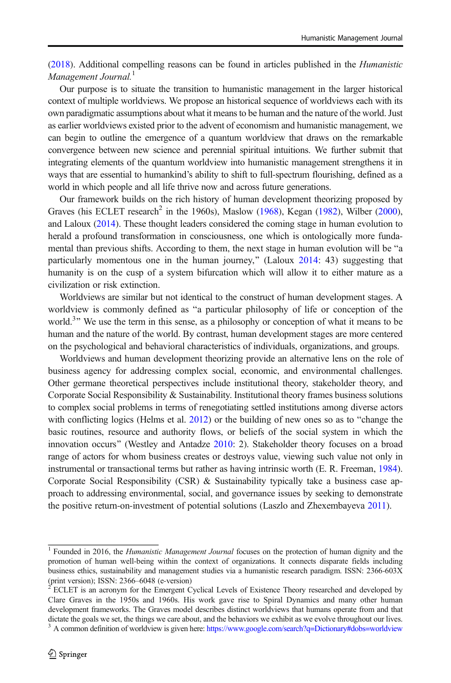([2018](#page-8-0)). Additional compelling reasons can be found in articles published in the Humanistic Management Journal.<sup>1</sup>

Our purpose is to situate the transition to humanistic management in the larger historical context of multiple worldviews. We propose an historical sequence of worldviews each with its own paradigmatic assumptions about what it means to be human and the nature of the world. Just as earlier worldviews existed prior to the advent of economism and humanistic management, we can begin to outline the emergence of a quantum worldview that draws on the remarkable convergence between new science and perennial spiritual intuitions. We further submit that integrating elements of the quantum worldview into humanistic management strengthens it in ways that are essential to humankind's ability to shift to full-spectrum flourishing, defined as a world in which people and all life thrive now and across future generations.

Our framework builds on the rich history of human development theorizing proposed by Graves (his ECLET research<sup>2</sup> in the 1960s), Maslow [\(1968\)](#page-9-0), Kegan [\(1982\)](#page-9-0), Wilber ([2000](#page-9-0)), and Laloux [\(2014\)](#page-9-0). These thought leaders considered the coming stage in human evolution to herald a profound transformation in consciousness, one which is ontologically more fundamental than previous shifts. According to them, the next stage in human evolution will be "a particularly momentous one in the human journey," (Laloux  $2014: 43$  $2014: 43$ ) suggesting that humanity is on the cusp of a system bifurcation which will allow it to either mature as a civilization or risk extinction.

Worldviews are similar but not identical to the construct of human development stages. A worldview is commonly defined as "a particular philosophy of life or conception of the world.<sup>3</sup>" We use the term in this sense, as a philosophy or conception of what it means to be human and the nature of the world. By contrast, human development stages are more centered on the psychological and behavioral characteristics of individuals, organizations, and groups.

Worldviews and human development theorizing provide an alternative lens on the role of business agency for addressing complex social, economic, and environmental challenges. Other germane theoretical perspectives include institutional theory, stakeholder theory, and Corporate Social Responsibility & Sustainability. Institutional theory frames business solutions to complex social problems in terms of renegotiating settled institutions among diverse actors with conflicting logics (Helms et al.  $2012$ ) or the building of new ones so as to "change the basic routines, resource and authority flows, or beliefs of the social system in which the innovation occurs" (Westley and Antadze [2010:](#page-9-0) 2). Stakeholder theory focuses on a broad range of actors for whom business creates or destroys value, viewing such value not only in instrumental or transactional terms but rather as having intrinsic worth (E. R. Freeman, [1984](#page-9-0)). Corporate Social Responsibility (CSR) & Sustainability typically take a business case approach to addressing environmental, social, and governance issues by seeking to demonstrate the positive return-on-investment of potential solutions (Laszlo and Zhexembayeva [2011\)](#page-9-0).

<sup>&</sup>lt;sup>1</sup> Founded in 2016, the *Humanistic Management Journal* focuses on the protection of human dignity and the promotion of human well-being within the context of organizations. It connects disparate fields including business ethics, sustainability and management studies via a humanistic research paradigm. ISSN: 2366-603X (print version); ISSN: 2366–6048 (e-version)<br><sup>2</sup> ECLET is an acronym for the Emergent Cyclical Levels of Existence Theory researched and developed by

Clare Graves in the 1950s and 1960s. His work gave rise to Spiral Dynamics and many other human development frameworks. The Graves model describes distinct worldviews that humans operate from and that dictate the goals we set, the things we care about, and the behaviors we exhibit as we evolve throughout our lives.

<sup>&</sup>lt;sup>3</sup> A common definition of worldview is given here: <https://www.google.com/search?q=Dictionary#dobs=worldview>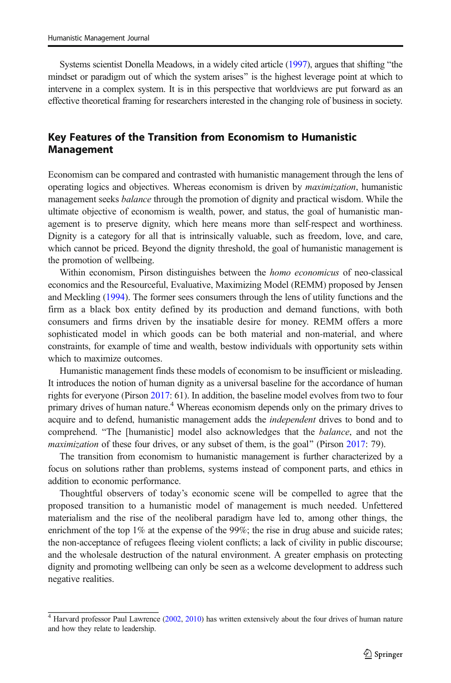Systems scientist Donella Meadows, in a widely cited article [\(1997](#page-9-0)), argues that shifting "the mindset or paradigm out of which the system arises" is the highest leverage point at which to intervene in a complex system. It is in this perspective that worldviews are put forward as an effective theoretical framing for researchers interested in the changing role of business in society.

## Key Features of the Transition from Economism to Humanistic Management

Economism can be compared and contrasted with humanistic management through the lens of operating logics and objectives. Whereas economism is driven by maximization, humanistic management seeks *balance* through the promotion of dignity and practical wisdom. While the ultimate objective of economism is wealth, power, and status, the goal of humanistic management is to preserve dignity, which here means more than self-respect and worthiness. Dignity is a category for all that is intrinsically valuable, such as freedom, love, and care, which cannot be priced. Beyond the dignity threshold, the goal of humanistic management is the promotion of wellbeing.

Within economism, Pirson distinguishes between the *homo economicus* of neo-classical economics and the Resourceful, Evaluative, Maximizing Model (REMM) proposed by Jensen and Meckling [\(1994\)](#page-9-0). The former sees consumers through the lens of utility functions and the firm as a black box entity defined by its production and demand functions, with both consumers and firms driven by the insatiable desire for money. REMM offers a more sophisticated model in which goods can be both material and non-material, and where constraints, for example of time and wealth, bestow individuals with opportunity sets within which to maximize outcomes.

Humanistic management finds these models of economism to be insufficient or misleading. It introduces the notion of human dignity as a universal baseline for the accordance of human rights for everyone (Pirson [2017](#page-9-0): 61). In addition, the baseline model evolves from two to four primary drives of human nature.<sup>4</sup> Whereas economism depends only on the primary drives to acquire and to defend, humanistic management adds the *independent* drives to bond and to comprehend. "The [humanistic] model also acknowledges that the *balance*, and not the maximization of these four drives, or any subset of them, is the goal" (Pirson [2017](#page-9-0): 79).

The transition from economism to humanistic management is further characterized by a focus on solutions rather than problems, systems instead of component parts, and ethics in addition to economic performance.

Thoughtful observers of today's economic scene will be compelled to agree that the proposed transition to a humanistic model of management is much needed. Unfettered materialism and the rise of the neoliberal paradigm have led to, among other things, the enrichment of the top  $1\%$  at the expense of the 99%; the rise in drug abuse and suicide rates; the non-acceptance of refugees fleeing violent conflicts; a lack of civility in public discourse; and the wholesale destruction of the natural environment. A greater emphasis on protecting dignity and promoting wellbeing can only be seen as a welcome development to address such negative realities.

<sup>&</sup>lt;sup>4</sup> Harvard professor Paul Lawrence ([2002](#page-9-0), [2010](#page-9-0)) has written extensively about the four drives of human nature and how they relate to leadership.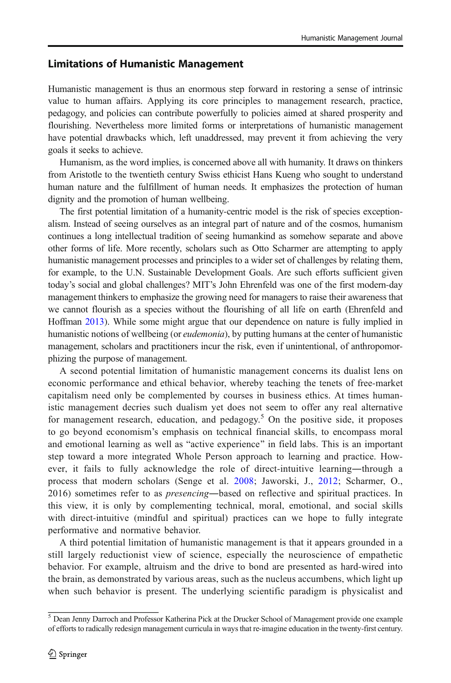#### Limitations of Humanistic Management

Humanistic management is thus an enormous step forward in restoring a sense of intrinsic value to human affairs. Applying its core principles to management research, practice, pedagogy, and policies can contribute powerfully to policies aimed at shared prosperity and flourishing. Nevertheless more limited forms or interpretations of humanistic management have potential drawbacks which, left unaddressed, may prevent it from achieving the very goals it seeks to achieve.

Humanism, as the word implies, is concerned above all with humanity. It draws on thinkers from Aristotle to the twentieth century Swiss ethicist Hans Kueng who sought to understand human nature and the fulfillment of human needs. It emphasizes the protection of human dignity and the promotion of human wellbeing.

The first potential limitation of a humanity-centric model is the risk of species exceptionalism. Instead of seeing ourselves as an integral part of nature and of the cosmos, humanism continues a long intellectual tradition of seeing humankind as somehow separate and above other forms of life. More recently, scholars such as Otto Scharmer are attempting to apply humanistic management processes and principles to a wider set of challenges by relating them, for example, to the U.N. Sustainable Development Goals. Are such efforts sufficient given today's social and global challenges? MIT's John Ehrenfeld was one of the first modern-day management thinkers to emphasize the growing need for managers to raise their awareness that we cannot flourish as a species without the flourishing of all life on earth (Ehrenfeld and Hoffman [2013\)](#page-8-0). While some might argue that our dependence on nature is fully implied in humanistic notions of wellbeing (or *eudemonia*), by putting humans at the center of humanistic management, scholars and practitioners incur the risk, even if unintentional, of anthropomorphizing the purpose of management.

A second potential limitation of humanistic management concerns its dualist lens on economic performance and ethical behavior, whereby teaching the tenets of free-market capitalism need only be complemented by courses in business ethics. At times humanistic management decries such dualism yet does not seem to offer any real alternative for management research, education, and pedagogy.<sup>5</sup> On the positive side, it proposes to go beyond economism's emphasis on technical financial skills, to encompass moral and emotional learning as well as "active experience" in field labs. This is an important step toward a more integrated Whole Person approach to learning and practice. However, it fails to fully acknowledge the role of direct-intuitive learning―through a process that modern scholars (Senge et al. [2008;](#page-9-0) Jaworski, J., [2012;](#page-9-0) Scharmer, O., 2016) sometimes refer to as presencing―based on reflective and spiritual practices. In this view, it is only by complementing technical, moral, emotional, and social skills with direct-intuitive (mindful and spiritual) practices can we hope to fully integrate performative and normative behavior.

A third potential limitation of humanistic management is that it appears grounded in a still largely reductionist view of science, especially the neuroscience of empathetic behavior. For example, altruism and the drive to bond are presented as hard-wired into the brain, as demonstrated by various areas, such as the nucleus accumbens, which light up when such behavior is present. The underlying scientific paradigm is physicalist and

<sup>5</sup> Dean Jenny Darroch and Professor Katherina Pick at the Drucker School of Management provide one example of efforts to radically redesign management curricula in ways that re-imagine education in the twenty-first century.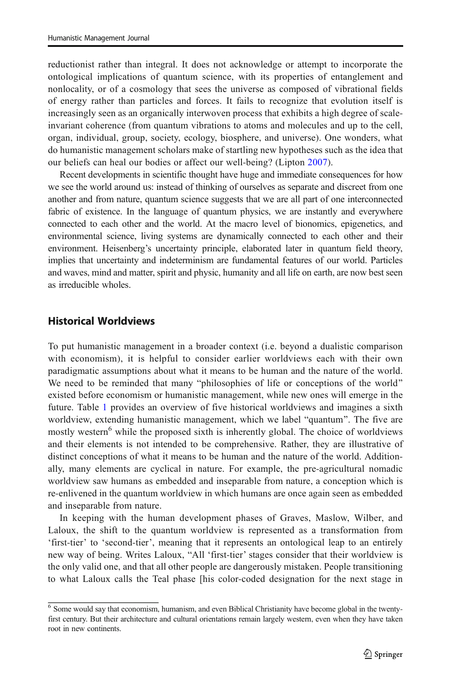reductionist rather than integral. It does not acknowledge or attempt to incorporate the ontological implications of quantum science, with its properties of entanglement and nonlocality, or of a cosmology that sees the universe as composed of vibrational fields of energy rather than particles and forces. It fails to recognize that evolution itself is increasingly seen as an organically interwoven process that exhibits a high degree of scaleinvariant coherence (from quantum vibrations to atoms and molecules and up to the cell, organ, individual, group, society, ecology, biosphere, and universe). One wonders, what do humanistic management scholars make of startling new hypotheses such as the idea that our beliefs can heal our bodies or affect our well-being? (Lipton [2007](#page-9-0)).

Recent developments in scientific thought have huge and immediate consequences for how we see the world around us: instead of thinking of ourselves as separate and discreet from one another and from nature, quantum science suggests that we are all part of one interconnected fabric of existence. In the language of quantum physics, we are instantly and everywhere connected to each other and the world. At the macro level of bionomics, epigenetics, and environmental science, living systems are dynamically connected to each other and their environment. Heisenberg's uncertainty principle, elaborated later in quantum field theory, implies that uncertainty and indeterminism are fundamental features of our world. Particles and waves, mind and matter, spirit and physic, humanity and all life on earth, are now best seen as irreducible wholes.

## Historical Worldviews

To put humanistic management in a broader context (i.e. beyond a dualistic comparison with economism), it is helpful to consider earlier worldviews each with their own paradigmatic assumptions about what it means to be human and the nature of the world. We need to be reminded that many "philosophies of life or conceptions of the world" existed before economism or humanistic management, while new ones will emerge in the future. Table [1](#page-5-0) provides an overview of five historical worldviews and imagines a sixth worldview, extending humanistic management, which we label "quantum". The five are mostly western<sup>6</sup> while the proposed sixth is inherently global. The choice of worldviews and their elements is not intended to be comprehensive. Rather, they are illustrative of distinct conceptions of what it means to be human and the nature of the world. Additionally, many elements are cyclical in nature. For example, the pre-agricultural nomadic worldview saw humans as embedded and inseparable from nature, a conception which is re-enlivened in the quantum worldview in which humans are once again seen as embedded and inseparable from nature.

In keeping with the human development phases of Graves, Maslow, Wilber, and Laloux, the shift to the quantum worldview is represented as a transformation from 'first-tier' to 'second-tier', meaning that it represents an ontological leap to an entirely new way of being. Writes Laloux, "All 'first-tier' stages consider that their worldview is the only valid one, and that all other people are dangerously mistaken. People transitioning to what Laloux calls the Teal phase [his color-coded designation for the next stage in

<sup>6</sup> Some would say that economism, humanism, and even Biblical Christianity have become global in the twentyfirst century. But their architecture and cultural orientations remain largely western, even when they have taken root in new continents.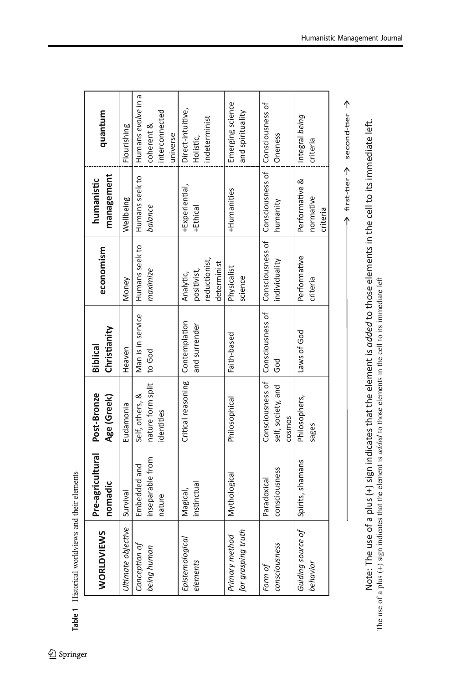<span id="page-5-0"></span>

| Consciousness of   Consciousness of   Consciousness of<br>Direct-intuitive,<br>interconnected<br>and spirituality<br>Integral being<br>indeterminist<br>coherent &<br>Flourishing<br>universe<br>Oneness<br>Holistic,<br>criteria<br>Humans seek to<br>Performative &<br>+Experiential<br>+Humanities<br>normative<br>Wellbeing<br>humanity<br>balance<br>+Ethical<br>criteria<br>Humans seek to<br>Performative<br>reductionist,<br>individuality<br>determinist<br>Physicalist<br>maximize<br>positivist,<br>Analytic,<br>science<br>criteria<br>Money<br>Consciousness of   Consciousness of<br>Man is in service<br>Contemplation<br>and surrender<br>Laws of God<br>Faith-based<br>Heaven<br>to God<br>God<br>Critical reasoning<br>nature form split<br>self, society, and<br>Self, others, &<br>Philosophers,<br>Philosophical<br>Eudamonia<br>identities<br>cosmos<br>sages<br>inseparable from<br>Spirits, shamans<br>Embedded and<br>consciousness<br>Mythological<br>Paradoxical<br>instinctual<br>Magical,<br>Survival<br>nature<br>Ultimate objective<br>Guiding source of<br>for grasping truth<br>Primary method<br>Epistemological<br>Conception of<br>consciousness<br>being human<br>elements<br>behavior<br>Form of | <b>WORLDVIEWS</b> | Pre-agricultural<br>nomadic | Post-Bronze<br>Age (Greek) | Christianity<br>Biblical | economism | management<br>humanistic | quantum            |
|----------------------------------------------------------------------------------------------------------------------------------------------------------------------------------------------------------------------------------------------------------------------------------------------------------------------------------------------------------------------------------------------------------------------------------------------------------------------------------------------------------------------------------------------------------------------------------------------------------------------------------------------------------------------------------------------------------------------------------------------------------------------------------------------------------------------------------------------------------------------------------------------------------------------------------------------------------------------------------------------------------------------------------------------------------------------------------------------------------------------------------------------------------------------------------------------------------------------------------------|-------------------|-----------------------------|----------------------------|--------------------------|-----------|--------------------------|--------------------|
|                                                                                                                                                                                                                                                                                                                                                                                                                                                                                                                                                                                                                                                                                                                                                                                                                                                                                                                                                                                                                                                                                                                                                                                                                                        |                   |                             |                            |                          |           |                          |                    |
|                                                                                                                                                                                                                                                                                                                                                                                                                                                                                                                                                                                                                                                                                                                                                                                                                                                                                                                                                                                                                                                                                                                                                                                                                                        |                   |                             |                            |                          |           |                          | Humans evolve in a |
|                                                                                                                                                                                                                                                                                                                                                                                                                                                                                                                                                                                                                                                                                                                                                                                                                                                                                                                                                                                                                                                                                                                                                                                                                                        |                   |                             |                            |                          |           |                          |                    |
|                                                                                                                                                                                                                                                                                                                                                                                                                                                                                                                                                                                                                                                                                                                                                                                                                                                                                                                                                                                                                                                                                                                                                                                                                                        |                   |                             |                            |                          |           |                          |                    |
|                                                                                                                                                                                                                                                                                                                                                                                                                                                                                                                                                                                                                                                                                                                                                                                                                                                                                                                                                                                                                                                                                                                                                                                                                                        |                   |                             |                            |                          |           |                          |                    |
|                                                                                                                                                                                                                                                                                                                                                                                                                                                                                                                                                                                                                                                                                                                                                                                                                                                                                                                                                                                                                                                                                                                                                                                                                                        |                   |                             |                            |                          |           |                          |                    |
|                                                                                                                                                                                                                                                                                                                                                                                                                                                                                                                                                                                                                                                                                                                                                                                                                                                                                                                                                                                                                                                                                                                                                                                                                                        |                   |                             |                            |                          |           |                          |                    |
|                                                                                                                                                                                                                                                                                                                                                                                                                                                                                                                                                                                                                                                                                                                                                                                                                                                                                                                                                                                                                                                                                                                                                                                                                                        |                   |                             |                            |                          |           |                          |                    |
|                                                                                                                                                                                                                                                                                                                                                                                                                                                                                                                                                                                                                                                                                                                                                                                                                                                                                                                                                                                                                                                                                                                                                                                                                                        |                   |                             |                            |                          |           |                          |                    |
|                                                                                                                                                                                                                                                                                                                                                                                                                                                                                                                                                                                                                                                                                                                                                                                                                                                                                                                                                                                                                                                                                                                                                                                                                                        |                   |                             |                            |                          |           |                          | Emerging science   |
|                                                                                                                                                                                                                                                                                                                                                                                                                                                                                                                                                                                                                                                                                                                                                                                                                                                                                                                                                                                                                                                                                                                                                                                                                                        |                   |                             |                            |                          |           |                          |                    |
|                                                                                                                                                                                                                                                                                                                                                                                                                                                                                                                                                                                                                                                                                                                                                                                                                                                                                                                                                                                                                                                                                                                                                                                                                                        |                   |                             |                            |                          |           |                          |                    |
|                                                                                                                                                                                                                                                                                                                                                                                                                                                                                                                                                                                                                                                                                                                                                                                                                                                                                                                                                                                                                                                                                                                                                                                                                                        |                   |                             |                            |                          |           |                          |                    |
|                                                                                                                                                                                                                                                                                                                                                                                                                                                                                                                                                                                                                                                                                                                                                                                                                                                                                                                                                                                                                                                                                                                                                                                                                                        |                   |                             |                            |                          |           |                          |                    |
|                                                                                                                                                                                                                                                                                                                                                                                                                                                                                                                                                                                                                                                                                                                                                                                                                                                                                                                                                                                                                                                                                                                                                                                                                                        |                   |                             |                            |                          |           |                          |                    |
|                                                                                                                                                                                                                                                                                                                                                                                                                                                                                                                                                                                                                                                                                                                                                                                                                                                                                                                                                                                                                                                                                                                                                                                                                                        |                   |                             |                            |                          |           |                          |                    |

Note: The use of a plus (+) sign indicates that the element is added to those elements in the cell to its immediate left.<br>The use of a plus (+) sign indicates that the element is *added* to those elements in the cell o its Note: The use of a plus (+) sign indicates that the element is *added* to those elements in the cell to its immediate left. The use of a plus (+) sign indicates that the element is *added* to those elements in the cell to its immediate left

first--

er second--

er

Table 1 Historical worldviews and their elements

Table 1 Historical worldviews and their elements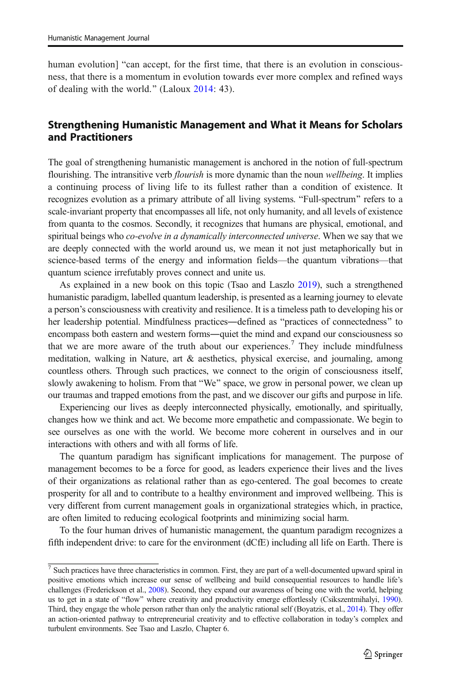human evolution] "can accept, for the first time, that there is an evolution in consciousness, that there is a momentum in evolution towards ever more complex and refined ways of dealing with the world." (Laloux [2014](#page-9-0): 43).

## Strengthening Humanistic Management and What it Means for Scholars and Practitioners

The goal of strengthening humanistic management is anchored in the notion of full-spectrum flourishing. The intransitive verb *flourish* is more dynamic than the noun *wellbeing*. It implies a continuing process of living life to its fullest rather than a condition of existence. It recognizes evolution as a primary attribute of all living systems. "Full-spectrum" refers to a scale-invariant property that encompasses all life, not only humanity, and all levels of existence from quanta to the cosmos. Secondly, it recognizes that humans are physical, emotional, and spiritual beings who *co-evolve in a dynamically interconnected universe*. When we say that we are deeply connected with the world around us, we mean it not just metaphorically but in science-based terms of the energy and information fields—the quantum vibrations—that quantum science irrefutably proves connect and unite us.

As explained in a new book on this topic (Tsao and Laszlo [2019\)](#page-9-0), such a strengthened humanistic paradigm, labelled quantum leadership, is presented as a learning journey to elevate a person's consciousness with creativity and resilience. It is a timeless path to developing his or her leadership potential. Mindfulness practices—defined as "practices of connectedness" to encompass both eastern and western forms―quiet the mind and expand our consciousness so that we are more aware of the truth about our experiences.<sup>7</sup> They include mindfulness meditation, walking in Nature, art & aesthetics, physical exercise, and journaling, among countless others. Through such practices, we connect to the origin of consciousness itself, slowly awakening to holism. From that "We" space, we grow in personal power, we clean up our traumas and trapped emotions from the past, and we discover our gifts and purpose in life.

Experiencing our lives as deeply interconnected physically, emotionally, and spiritually, changes how we think and act. We become more empathetic and compassionate. We begin to see ourselves as one with the world. We become more coherent in ourselves and in our interactions with others and with all forms of life.

The quantum paradigm has significant implications for management. The purpose of management becomes to be a force for good, as leaders experience their lives and the lives of their organizations as relational rather than as ego-centered. The goal becomes to create prosperity for all and to contribute to a healthy environment and improved wellbeing. This is very different from current management goals in organizational strategies which, in practice, are often limited to reducing ecological footprints and minimizing social harm.

To the four human drives of humanistic management, the quantum paradigm recognizes a fifth independent drive: to care for the environment (dCfE) including all life on Earth. There is

 $7$  Such practices have three characteristics in common. First, they are part of a well-documented upward spiral in positive emotions which increase our sense of wellbeing and build consequential resources to handle life's challenges (Frederickson et al., [2008](#page-9-0)). Second, they expand our awareness of being one with the world, helping us to get in a state of "flow" where creativity and productivity emerge effortlessly (Csikszentmihalyi, [1990](#page-8-0)). Third, they engage the whole person rather than only the analytic rational self (Boyatzis, et al., [2014\)](#page-8-0). They offer an action-oriented pathway to entrepreneurial creativity and to effective collaboration in today's complex and turbulent environments. See Tsao and Laszlo, Chapter 6.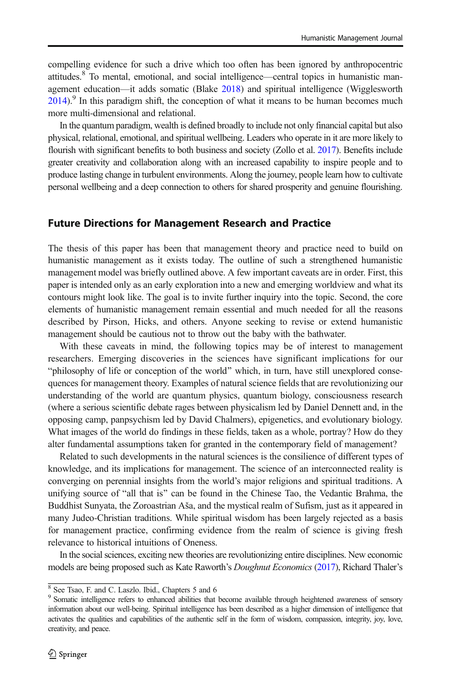compelling evidence for such a drive which too often has been ignored by anthropocentric attitudes.<sup>8</sup> To mental, emotional, and social intelligence—central topics in humanistic management education—it adds somatic (Blake [2018\)](#page-8-0) and spiritual intelligence (Wigglesworth  $2014$ .<sup>9</sup> In this paradigm shift, the conception of what it means to be human becomes much more multi-dimensional and relational.

In the quantum paradigm, wealth is defined broadly to include not only financial capital but also physical, relational, emotional, and spiritual wellbeing. Leaders who operate in it are more likely to flourish with significant benefits to both business and society (Zollo et al. [2017\)](#page-9-0). Benefits include greater creativity and collaboration along with an increased capability to inspire people and to produce lasting change in turbulent environments. Along the journey, people learn how to cultivate personal wellbeing and a deep connection to others for shared prosperity and genuine flourishing.

#### Future Directions for Management Research and Practice

The thesis of this paper has been that management theory and practice need to build on humanistic management as it exists today. The outline of such a strengthened humanistic management model was briefly outlined above. A few important caveats are in order. First, this paper is intended only as an early exploration into a new and emerging worldview and what its contours might look like. The goal is to invite further inquiry into the topic. Second, the core elements of humanistic management remain essential and much needed for all the reasons described by Pirson, Hicks, and others. Anyone seeking to revise or extend humanistic management should be cautious not to throw out the baby with the bathwater.

With these caveats in mind, the following topics may be of interest to management researchers. Emerging discoveries in the sciences have significant implications for our "philosophy of life or conception of the world" which, in turn, have still unexplored consequences for management theory. Examples of natural science fields that are revolutionizing our understanding of the world are quantum physics, quantum biology, consciousness research (where a serious scientific debate rages between physicalism led by Daniel Dennett and, in the opposing camp, panpsychism led by David Chalmers), epigenetics, and evolutionary biology. What images of the world do findings in these fields, taken as a whole, portray? How do they alter fundamental assumptions taken for granted in the contemporary field of management?

Related to such developments in the natural sciences is the consilience of different types of knowledge, and its implications for management. The science of an interconnected reality is converging on perennial insights from the world's major religions and spiritual traditions. A unifying source of "all that is" can be found in the Chinese Tao, the Vedantic Brahma, the Buddhist Sunyata, the Zoroastrian Aša, and the mystical realm of Sufism, just as it appeared in many Judeo-Christian traditions. While spiritual wisdom has been largely rejected as a basis for management practice, confirming evidence from the realm of science is giving fresh relevance to historical intuitions of Oneness.

In the social sciences, exciting new theories are revolutionizing entire disciplines. New economic models are being proposed such as Kate Raworth's Doughnut Economics [\(2017\)](#page-9-0), Richard Thaler's

<sup>8</sup> See Tsao, F. and C. Laszlo. Ibid., Chapters 5 and 6

<sup>&</sup>lt;sup>9</sup> Somatic intelligence refers to enhanced abilities that become available through heightened awareness of sensory information about our well-being. Spiritual intelligence has been described as a higher dimension of intelligence that activates the qualities and capabilities of the authentic self in the form of wisdom, compassion, integrity, joy, love, creativity, and peace.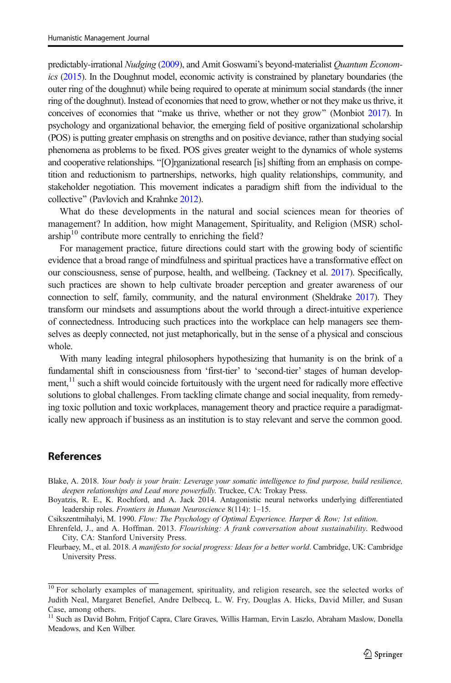<span id="page-8-0"></span>predictably-irrational Nudging [\(2009\)](#page-9-0), and Amit Goswami's beyond-materialist Quantum Economics [\(2015](#page-9-0)). In the Doughnut model, economic activity is constrained by planetary boundaries (the outer ring of the doughnut) while being required to operate at minimum social standards (the inner ring of the doughnut). Instead of economies that need to grow, whether or not they make us thrive, it conceives of economies that "make us thrive, whether or not they grow" (Monbiot [2017](#page-9-0)). In psychology and organizational behavior, the emerging field of positive organizational scholarship (POS) is putting greater emphasis on strengths and on positive deviance, rather than studying social phenomena as problems to be fixed. POS gives greater weight to the dynamics of whole systems and cooperative relationships. "[O]rganizational research [is] shifting from an emphasis on competition and reductionism to partnerships, networks, high quality relationships, community, and stakeholder negotiation. This movement indicates a paradigm shift from the individual to the collective" (Pavlovich and Krahnke [2012](#page-9-0)).

What do these developments in the natural and social sciences mean for theories of management? In addition, how might Management, Spirituality, and Religion (MSR) scholarship<sup>10</sup> contribute more centrally to enriching the field?

For management practice, future directions could start with the growing body of scientific evidence that a broad range of mindfulness and spiritual practices have a transformative effect on our consciousness, sense of purpose, health, and wellbeing. (Tackney et al. [2017\)](#page-9-0). Specifically, such practices are shown to help cultivate broader perception and greater awareness of our connection to self, family, community, and the natural environment (Sheldrake [2017\)](#page-9-0). They transform our mindsets and assumptions about the world through a direct-intuitive experience of connectedness. Introducing such practices into the workplace can help managers see themselves as deeply connected, not just metaphorically, but in the sense of a physical and conscious whole.

With many leading integral philosophers hypothesizing that humanity is on the brink of a fundamental shift in consciousness from 'first-tier' to 'second-tier' stages of human development,<sup>11</sup> such a shift would coincide fortuitously with the urgent need for radically more effective solutions to global challenges. From tackling climate change and social inequality, from remedying toxic pollution and toxic workplaces, management theory and practice require a paradigmatically new approach if business as an institution is to stay relevant and serve the common good.

## References

- Blake, A. 2018. Your body is your brain: Leverage your somatic intelligence to find purpose, build resilience, deepen relationships and Lead more powerfully. Truckee, CA: Trokay Press.
- Boyatzis, R. E., K. Rochford, and A. Jack 2014. Antagonistic neural networks underlying differentiated leadership roles. Frontiers in Human Neuroscience 8(114): 1–15.

Csikszentmihalyi, M. 1990. Flow: The Psychology of Optimal Experience. Harper & Row; 1st edition.

Fleurbaey, M., et al. 2018. A manifesto for social progress: Ideas for a better world. Cambridge, UK: Cambridge University Press.

Ehrenfeld, J., and A. Hoffman. 2013. Flourishing: A frank conversation about sustainability. Redwood City, CA: Stanford University Press.

<sup>&</sup>lt;sup>10</sup> For scholarly examples of management, spirituality, and religion research, see the selected works of Judith Neal, Margaret Benefiel, Andre Delbecq, L. W. Fry, Douglas A. Hicks, David Miller, and Susan Case, among others.

<sup>&</sup>lt;sup>11</sup> Such as David Bohm, Fritjof Capra, Clare Graves, Willis Harman, Ervin Laszlo, Abraham Maslow, Donella Meadows, and Ken Wilber.